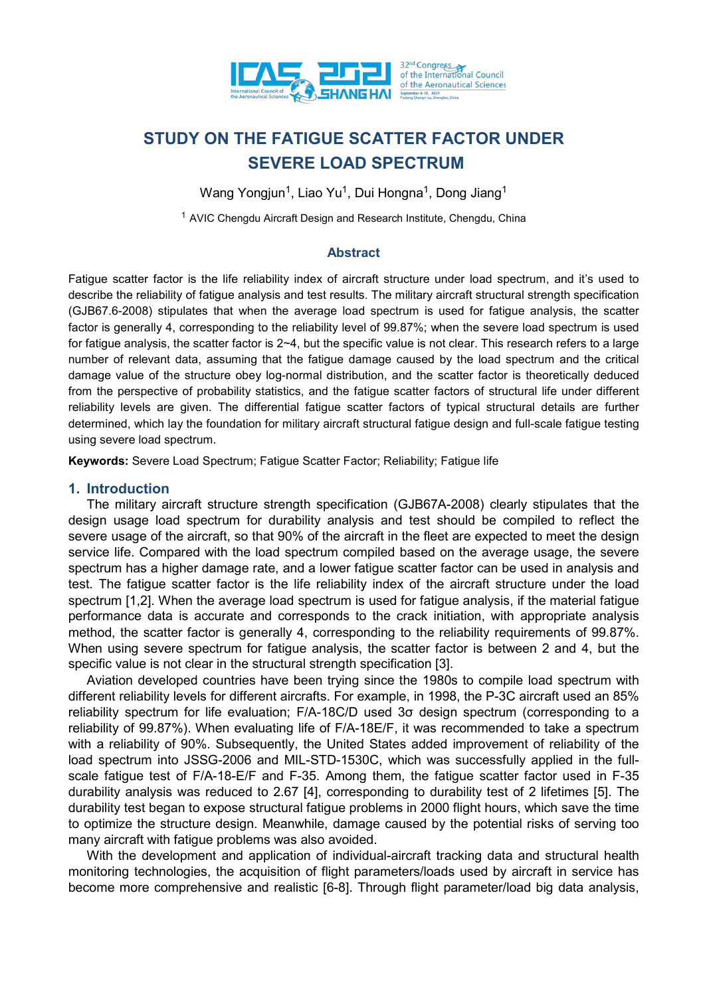

# **STUDY ON THE FATIGUE SCATTER FACTOR UNDER SEVERE LOAD SPECTRUM**

Wang Yongjun<sup>1</sup>, Liao Yu<sup>1</sup>, Dui Hongna<sup>1</sup>, Dong Jiang<sup>1</sup>

<sup>1</sup> AVIC Chengdu Aircraft Design and Research Institute, Chengdu, China

## **Abstract**

Fatigue scatter factor is the life reliability index of aircraft structure under load spectrum, and it's used to describe the reliability of fatigue analysis and test results. The military aircraft structural strength specification (GJB67.6-2008) stipulates that when the average load spectrum is used for fatigue analysis, the scatter factor is generally 4, corresponding to the reliability level of 99.87%; when the severe load spectrum is used for fatigue analysis, the scatter factor is  $2~4$ , but the specific value is not clear. This research refers to a large number of relevant data, assuming that the fatigue damage caused by the load spectrum and the critical damage value of the structure obey log-normal distribution, and the scatter factor is theoretically deduced from the perspective of probability statistics, and the fatigue scatter factors of structural life under different reliability levels are given. The differential fatigue scatter factors of typical structural details are further determined, which lay the foundation for military aircraft structural fatigue design and full-scale fatigue testing using severe load spectrum.

**Keywords:** Severe Load Spectrum; Fatigue Scatter Factor; Reliability; Fatigue life

# **1. Introduction**

The military aircraft structure strength specification (GJB67A-2008) clearly stipulates that the design usage load spectrum for durability analysis and test should be compiled to reflect the severe usage of the aircraft, so that 90% of the aircraft in the fleet are expected to meet the design service life. Compared with the load spectrum compiled based on the average usage, the severe spectrum has a higher damage rate, and a lower fatigue scatter factor can be used in analysis and test. The fatigue scatter factor is the life reliability index of the aircraft structure under the load spectrum [1,2]. When the average load spectrum is used for fatigue analysis, if the material fatigue performance data is accurate and corresponds to the crack initiation, with appropriate analysis method, the scatter factor is generally 4, corresponding to the reliability requirements of 99.87%. When using severe spectrum for fatigue analysis, the scatter factor is between 2 and 4, but the specific value is not clear in the structural strength specification [3].

Aviation developed countries have been trying since the 1980s to compile load spectrum with different reliability levels for different aircrafts. For example, in 1998, the P-3C aircraft used an 85% reliability spectrum for life evaluation; F/A-18C/D used 3σ design spectrum (corresponding to a reliability of 99.87%). When evaluating life of F/A-18E/F, it was recommended to take a spectrum with a reliability of 90%. Subsequently, the United States added improvement of reliability of the load spectrum into JSSG-2006 and MIL-STD-1530C, which was successfully applied in the fullscale fatigue test of F/A-18-E/F and F-35. Among them, the fatigue scatter factor used in F-35 durability analysis was reduced to 2.67 [4], corresponding to durability test of 2 lifetimes [5]. The durability test began to expose structural fatigue problems in 2000 flight hours, which save the time to optimize the structure design. Meanwhile, damage caused by the potential risks of serving too many aircraft with fatigue problems was also avoided.

With the development and application of individual-aircraft tracking data and structural health monitoring technologies, the acquisition of flight parameters/loads used by aircraft in service has become more comprehensive and realistic [6-8]. Through flight parameter/load big data analysis,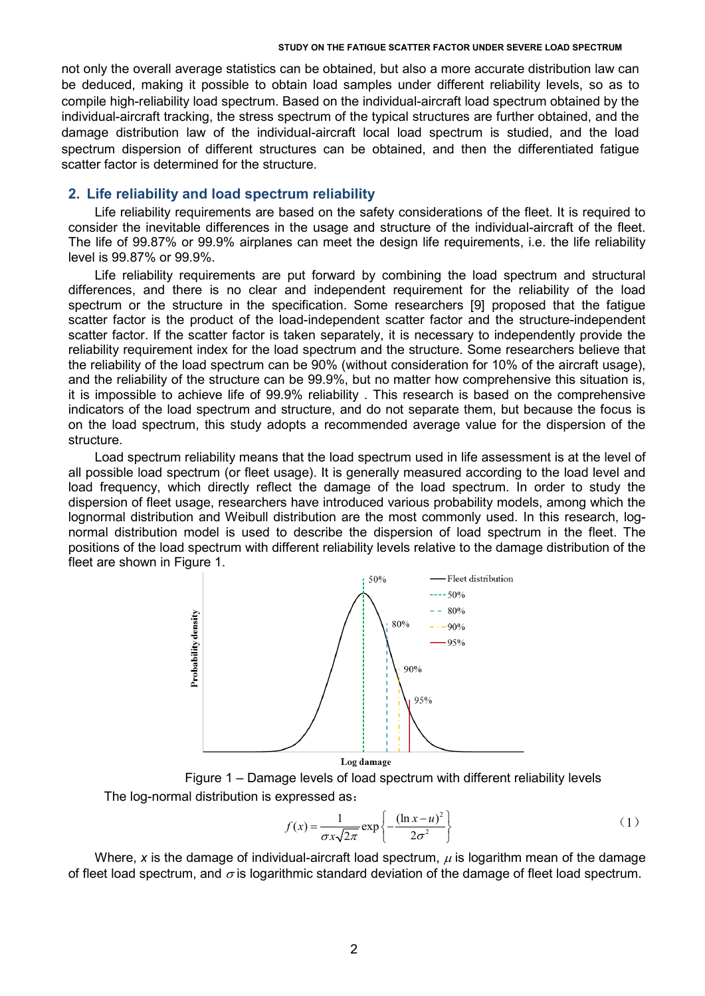#### **STUDY ON THE FATIGUE SCATTER FACTOR UNDER SEVERE LOAD SPECTRUM**

not only the overall average statistics can be obtained, but also a more accurate distribution law can be deduced, making it possible to obtain load samples under different reliability levels, so as to compile high-reliability load spectrum. Based on the individual-aircraft load spectrum obtained by the individual-aircraft tracking, the stress spectrum of the typical structures are further obtained, and the damage distribution law of the individual-aircraft local load spectrum is studied, and the load spectrum dispersion of different structures can be obtained, and then the differentiated fatigue scatter factor is determined for the structure.

# **2. Life reliability and load spectrum reliability**

Life reliability requirements are based on the safety considerations of the fleet. It is required to consider the inevitable differences in the usage and structure of the individual-aircraft of the fleet. The life of 99.87% or 99.9% airplanes can meet the design life requirements, i.e. the life reliability level is 99.87% or 99.9%.

Life reliability requirements are put forward by combining the load spectrum and structural differences, and there is no clear and independent requirement for the reliability of the load spectrum or the structure in the specification. Some researchers [9] proposed that the fatigue scatter factor is the product of the load-independent scatter factor and the structure-independent scatter factor. If the scatter factor is taken separately, it is necessary to independently provide the reliability requirement index for the load spectrum and the structure. Some researchers believe that the reliability of the load spectrum can be 90% (without consideration for 10% of the aircraft usage), and the reliability of the structure can be 99.9%, but no matter how comprehensive this situation is, it is impossible to achieve life of 99.9% reliability . This research is based on the comprehensive indicators of the load spectrum and structure, and do not separate them, but because the focus is on the load spectrum, this study adopts a recommended average value for the dispersion of the structure.

Load spectrum reliability means that the load spectrum used in life assessment is at the level of all possible load spectrum (or fleet usage). It is generally measured according to the load level and load frequency, which directly reflect the damage of the load spectrum. In order to study the dispersion of fleet usage, researchers have introduced various probability models, among which the lognormal distribution and Weibull distribution are the most commonly used. In this research, lognormal distribution model is used to describe the dispersion of load spectrum in the fleet. The positions of the load spectrum with different reliability levels relative to the damage distribution of the fleet are shown in Figure 1.



 Figure 1 – Damage levels of load spectrum with different reliability levels The log-normal distribution is expressed as:

$$
f(x) = \frac{1}{\sigma x \sqrt{2\pi}} \exp\left\{-\frac{(\ln x - u)^2}{2\sigma^2}\right\}
$$
 (1)

Where, x is the damage of individual-aircraft load spectrum,  $\mu$  is logarithm mean of the damage of fleet load spectrum, and  $\sigma$  is logarithmic standard deviation of the damage of fleet load spectrum.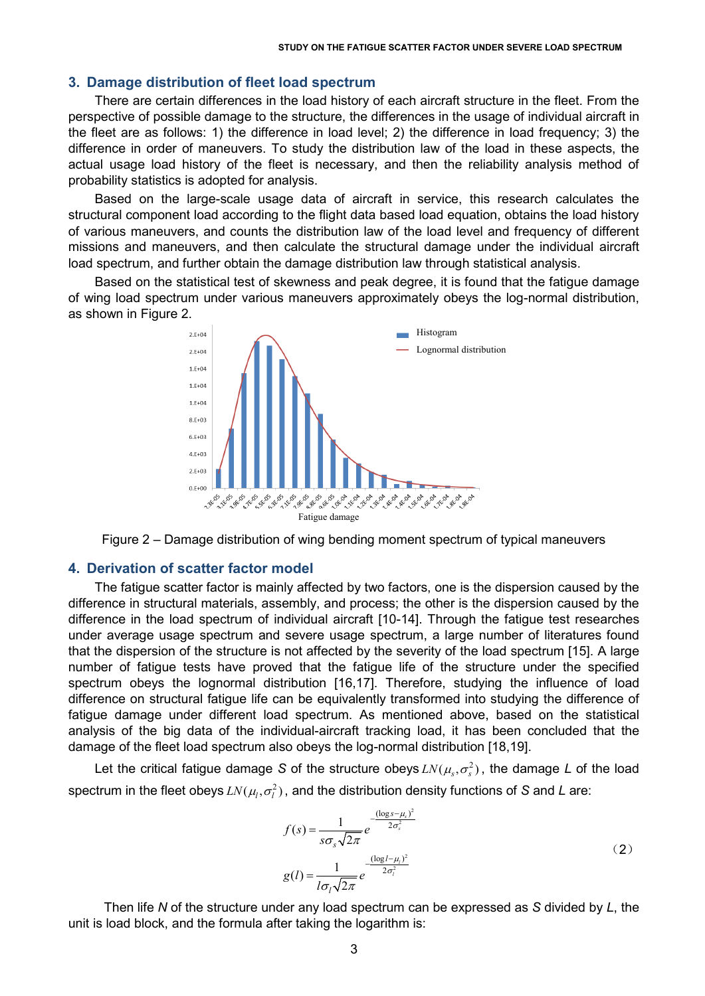### **3. Damage distribution of fleet load spectrum**

There are certain differences in the load history of each aircraft structure in the fleet. From the perspective of possible damage to the structure, the differences in the usage of individual aircraft in the fleet are as follows: 1) the difference in load level; 2) the difference in load frequency; 3) the difference in order of maneuvers. To study the distribution law of the load in these aspects, the actual usage load history of the fleet is necessary, and then the reliability analysis method of probability statistics is adopted for analysis.

Based on the large-scale usage data of aircraft in service, this research calculates the structural component load according to the flight data based load equation, obtains the load history of various maneuvers, and counts the distribution law of the load level and frequency of different missions and maneuvers, and then calculate the structural damage under the individual aircraft load spectrum, and further obtain the damage distribution law through statistical analysis.

Based on the statistical test of skewness and peak degree, it is found that the fatigue damage of wing load spectrum under various maneuvers approximately obeys the log-normal distribution, as shown in Figure 2.



Figure 2 – Damage distribution of wing bending moment spectrum of typical maneuvers

### **4. Derivation of scatter factor model**

The fatigue scatter factor is mainly affected by two factors, one is the dispersion caused by the difference in structural materials, assembly, and process; the other is the dispersion caused by the difference in the load spectrum of individual aircraft [10-14]. Through the fatigue test researches under average usage spectrum and severe usage spectrum, a large number of literatures found that the dispersion of the structure is not affected by the severity of the load spectrum [15]. A large number of fatigue tests have proved that the fatigue life of the structure under the specified spectrum obeys the lognormal distribution [16,17]. Therefore, studying the influence of load difference on structural fatigue life can be equivalently transformed into studying the difference of fatigue damage under different load spectrum. As mentioned above, based on the statistical analysis of the big data of the individual-aircraft tracking load, it has been concluded that the damage of the fleet load spectrum also obeys the log-normal distribution [18,19].

Let the critical fatigue damage *S* of the structure obeys  $LN(\mu_s, \sigma_s^2)$ , the damage *L* of the load spectrum in the fleet obeys  $LN(\mu_1, \sigma_1^2)$ , and the distribution density functions of *S* and *L* are:

$$
f(s) = \frac{1}{s\sigma_s \sqrt{2\pi}} e^{-\frac{(\log s - \mu_s)^2}{2\sigma_s^2}}
$$
  
\n
$$
g(l) = \frac{1}{l\sigma_l \sqrt{2\pi}} e^{-\frac{(\log l - \mu_l)^2}{2\sigma_l^2}}
$$
\n(2)

Then life *N* of the structure under any load spectrum can be expressed as *S* divided by *L*, the unit is load block, and the formula after taking the logarithm is: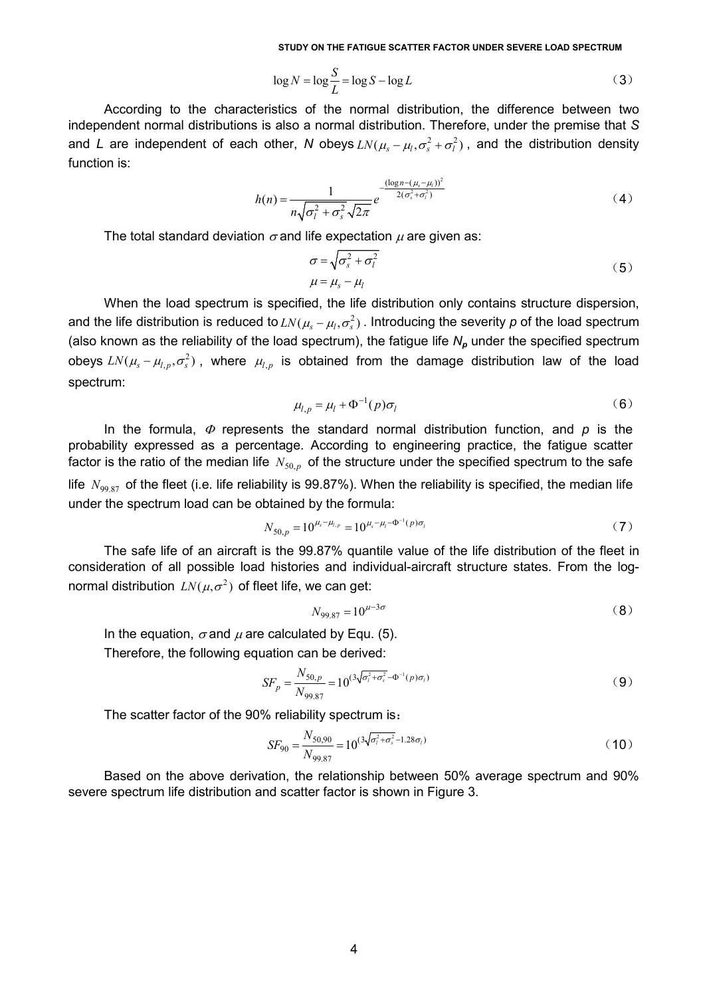$$
\log N = \log \frac{S}{L} = \log S - \log L \tag{3}
$$

According to the characteristics of the normal distribution, the difference between two independent normal distributions is also a normal distribution. Therefore, under the premise that *S* and *L* are independent of each other, *N* obeys  $LN(\mu_s - \mu_i, \sigma_s^2 + \sigma_i^2)$ , and the distribution density function is:

$$
h(n) = \frac{1}{n\sqrt{\sigma_i^2 + \sigma_s^2} \sqrt{2\pi}} e^{-\frac{(\log n - (\mu_s - \mu_i))^2}{2(\sigma_s^2 + \sigma_i^2)}}
$$
(4)

The total standard deviation  $\sigma$  and life expectation  $\mu$  are given as:

$$
\sigma = \sqrt{\sigma_s^2 + \sigma_l^2}
$$
  
\n
$$
\mu = \mu_s - \mu_l
$$
\n(5)

When the load spectrum is specified, the life distribution only contains structure dispersion, and the life distribution is reduced to  $LN(\mu_s - \mu_l, \sigma_s^2)$ . Introducing the severity p of the load spectrum (also known as the reliability of the load spectrum), the fatigue life *N<sup>p</sup>* under the specified spectrum obeys  $LN(\mu_s - \mu_{l,p}, \sigma_s^2)$  , where  $\mu_{l,p}$  is obtained from the damage distribution law of the load spectrum:

$$
\mu_{l,p} = \mu_l + \Phi^{-1}(p)\sigma_l \tag{6}
$$

In the formula, <sup>Φ</sup> represents the standard normal distribution function, and *p* is the probability expressed as a percentage. According to engineering practice, the fatigue scatter factor is the ratio of the median life  $N_{50, p}$  of the structure under the specified spectrum to the safe life  $N_{99.87}$  of the fleet (i.e. life reliability is 99.87%). When the reliability is specified, the median life

under the spectrum load can be obtained by the formula:

$$
N_{50,p} = 10^{\mu_s - \mu_{l,p}} = 10^{\mu_s - \mu_l - \Phi^{-1}(p)\sigma_l}
$$
 (7)

The safe life of an aircraft is the 99.87% quantile value of the life distribution of the fleet in consideration of all possible load histories and individual-aircraft structure states. From the lognormal distribution  $LN(\mu, \sigma^2)$  of fleet life, we can get:

$$
N_{99.87} = 10^{\mu - 3\sigma} \tag{8}
$$

In the equation,  $\sigma$  and  $\mu$  are calculated by Equ. (5). Therefore, the following equation can be derived:

$$
SF_p = \frac{N_{50,p}}{N_{99.87}} = 10^{(3\sqrt{\sigma_i^2 + \sigma_s^2} - \Phi^{-1}(p)\sigma_i)}
$$
(9)

The scatter factor of the 90% reliability spectrum is:

$$
SF_{90} = \frac{N_{50,90}}{N_{99.87}} = 10^{(3\sqrt{\sigma_i^2 + \sigma_s^2} - 1.28\sigma_i)}
$$
(10)

Based on the above derivation, the relationship between 50% average spectrum and 90% severe spectrum life distribution and scatter factor is shown in Figure 3.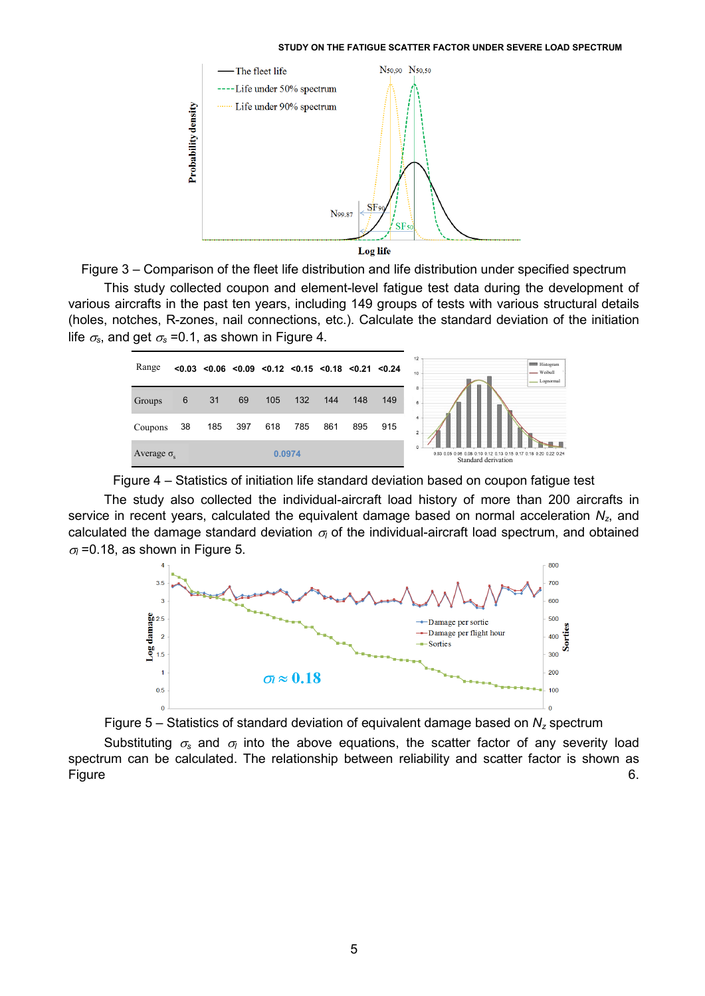#### **STUDY ON THE FATIGUE SCATTER FACTOR UNDER SEVERE LOAD SPECTRUM**





This study collected coupon and element-level fatigue test data during the development of various aircrafts in the past ten years, including 149 groups of tests with various structural details (holes, notches, R-zones, nail connections, etc.). Calculate the standard deviation of the initiation life  $\sigma_s$ , and get  $\sigma_s$  =0.1, as shown in Figure 4.



Figure 4 – Statistics of initiation life standard deviation based on coupon fatigue test

The study also collected the individual-aircraft load history of more than 200 aircrafts in service in recent years, calculated the equivalent damage based on normal acceleration N<sub>z</sub>, and calculated the damage standard deviation <sup>σ</sup>*<sup>l</sup>* of the individual-aircraft load spectrum, and obtained  $\sigma$ <sup> $\bar{p}$ </sup> =0.18, as shown in Figure 5.



Figure 5 – Statistics of standard deviation of equivalent damage based on *Nz* spectrum

Substituting <sup>σ</sup>*<sup>s</sup>* and <sup>σ</sup>*<sup>l</sup>* into the above equations, the scatter factor of any severity load spectrum can be calculated. The relationship between reliability and scatter factor is shown as Figure 6.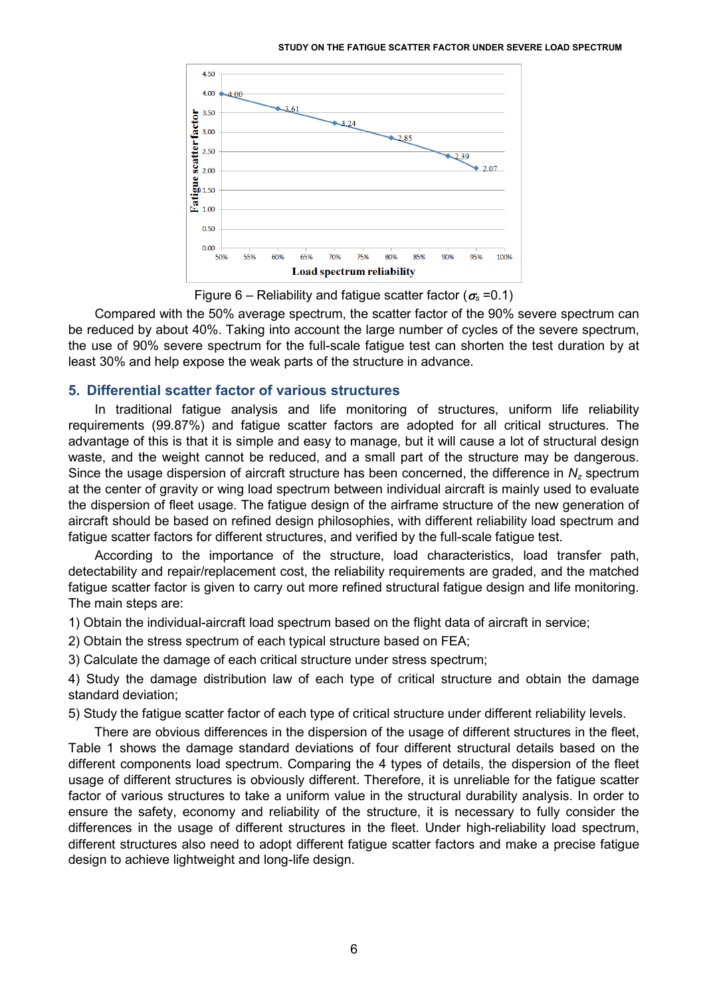

Figure 6 – Reliability and fatigue scatter factor ( $\sigma_s$  =0.1)

Compared with the 50% average spectrum, the scatter factor of the 90% severe spectrum can be reduced by about 40%. Taking into account the large number of cycles of the severe spectrum, the use of 90% severe spectrum for the full-scale fatigue test can shorten the test duration by at least 30% and help expose the weak parts of the structure in advance.

# **5. Differential scatter factor of various structures**

In traditional fatigue analysis and life monitoring of structures, uniform life reliability requirements (99.87%) and fatigue scatter factors are adopted for all critical structures. The advantage of this is that it is simple and easy to manage, but it will cause a lot of structural design waste, and the weight cannot be reduced, and a small part of the structure may be dangerous. Since the usage dispersion of aircraft structure has been concerned, the difference in  $N_z$  spectrum at the center of gravity or wing load spectrum between individual aircraft is mainly used to evaluate the dispersion of fleet usage. The fatigue design of the airframe structure of the new generation of aircraft should be based on refined design philosophies, with different reliability load spectrum and fatigue scatter factors for different structures, and verified by the full-scale fatigue test.

According to the importance of the structure, load characteristics, load transfer path, detectability and repair/replacement cost, the reliability requirements are graded, and the matched fatigue scatter factor is given to carry out more refined structural fatigue design and life monitoring. The main steps are:

1) Obtain the individual-aircraft load spectrum based on the flight data of aircraft in service;

2) Obtain the stress spectrum of each typical structure based on FEA;

3) Calculate the damage of each critical structure under stress spectrum;

4) Study the damage distribution law of each type of critical structure and obtain the damage standard deviation;

5) Study the fatigue scatter factor of each type of critical structure under different reliability levels.

There are obvious differences in the dispersion of the usage of different structures in the fleet, Table 1 shows the damage standard deviations of four different structural details based on the different components load spectrum. Comparing the 4 types of details, the dispersion of the fleet usage of different structures is obviously different. Therefore, it is unreliable for the fatigue scatter factor of various structures to take a uniform value in the structural durability analysis. In order to ensure the safety, economy and reliability of the structure, it is necessary to fully consider the differences in the usage of different structures in the fleet. Under high-reliability load spectrum, different structures also need to adopt different fatigue scatter factors and make a precise fatigue design to achieve lightweight and long-life design.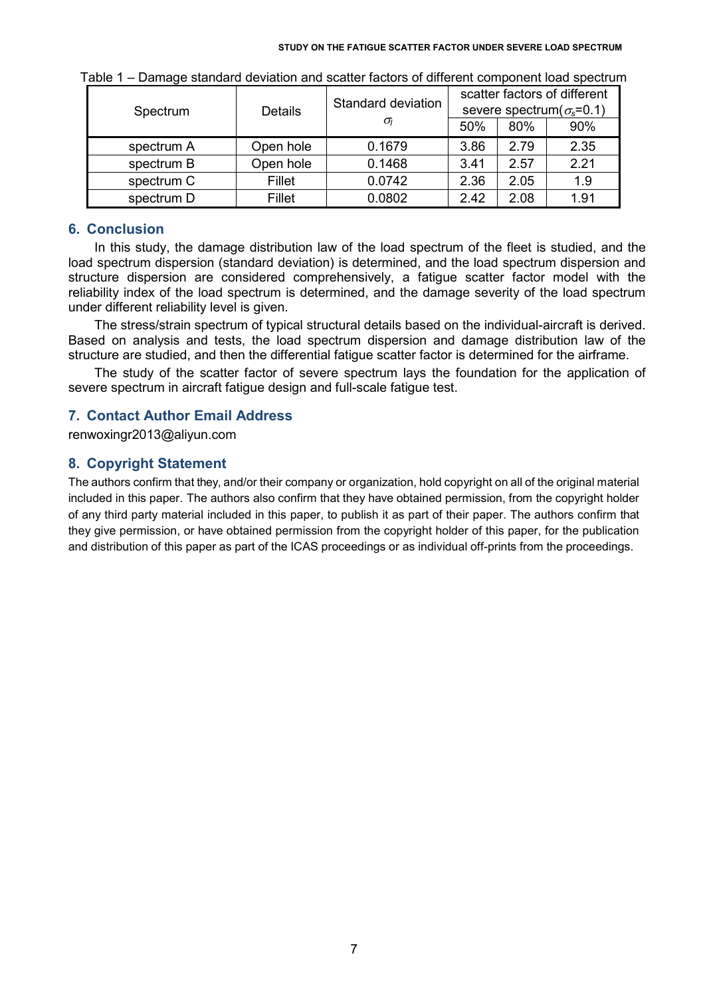| Spectrum   | <b>Details</b> | Standard deviation<br>$\sigma_{l}$ | scatter factors of different<br>severe spectrum( $\sigma_s$ =0.1) |      |      |
|------------|----------------|------------------------------------|-------------------------------------------------------------------|------|------|
|            |                |                                    | 50%                                                               | 80%  | 90%  |
| spectrum A | Open hole      | 0.1679                             | 3.86                                                              | 2.79 | 2.35 |
| spectrum B | Open hole      | 0.1468                             | 3.41                                                              | 2.57 | 2.21 |
| spectrum C | Fillet         | 0.0742                             | 2.36                                                              | 2.05 | 1.9  |
| spectrum D | Fillet         | 0.0802                             | 2.42                                                              | 2.08 | 1.91 |

Table 1 – Damage standard deviation and scatter factors of different component load spectrum

# **6. Conclusion**

In this study, the damage distribution law of the load spectrum of the fleet is studied, and the load spectrum dispersion (standard deviation) is determined, and the load spectrum dispersion and structure dispersion are considered comprehensively, a fatigue scatter factor model with the reliability index of the load spectrum is determined, and the damage severity of the load spectrum under different reliability level is given.

The stress/strain spectrum of typical structural details based on the individual-aircraft is derived. Based on analysis and tests, the load spectrum dispersion and damage distribution law of the structure are studied, and then the differential fatigue scatter factor is determined for the airframe.

The study of the scatter factor of severe spectrum lays the foundation for the application of severe spectrum in aircraft fatigue design and full-scale fatigue test.

# **7. Contact Author Email Address**

renwoxingr2013@aliyun.com

# **8. Copyright Statement**

The authors confirm that they, and/or their company or organization, hold copyright on all of the original material included in this paper. The authors also confirm that they have obtained permission, from the copyright holder of any third party material included in this paper, to publish it as part of their paper. The authors confirm that they give permission, or have obtained permission from the copyright holder of this paper, for the publication and distribution of this paper as part of the ICAS proceedings or as individual off-prints from the proceedings.